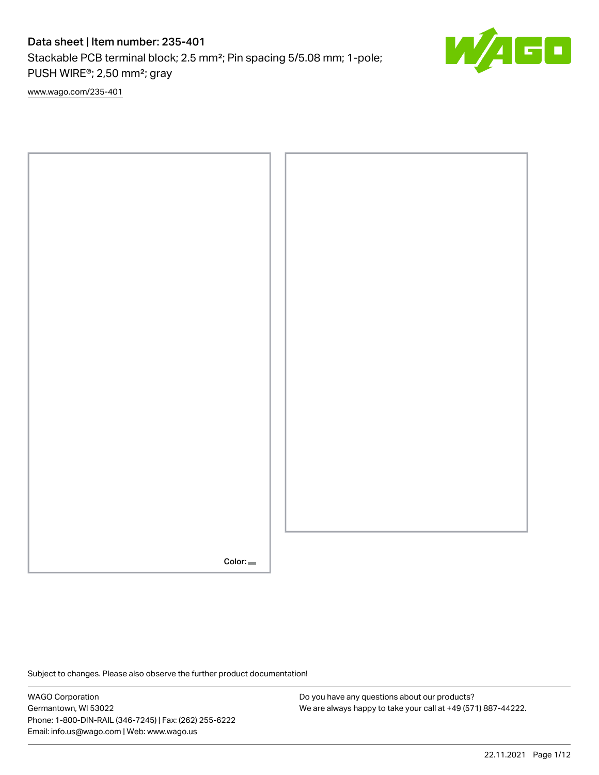Stackable PCB terminal block; 2.5 mm²; Pin spacing 5/5.08 mm; 1-pole; PUSH WIRE®; 2,50 mm²; gray

[www.wago.com/235-401](http://www.wago.com/235-401)



Subject to changes. Please also observe the further product documentation!

WAGO Corporation Germantown, WI 53022 Phone: 1-800-DIN-RAIL (346-7245) | Fax: (262) 255-6222 Email: info.us@wago.com | Web: www.wago.us

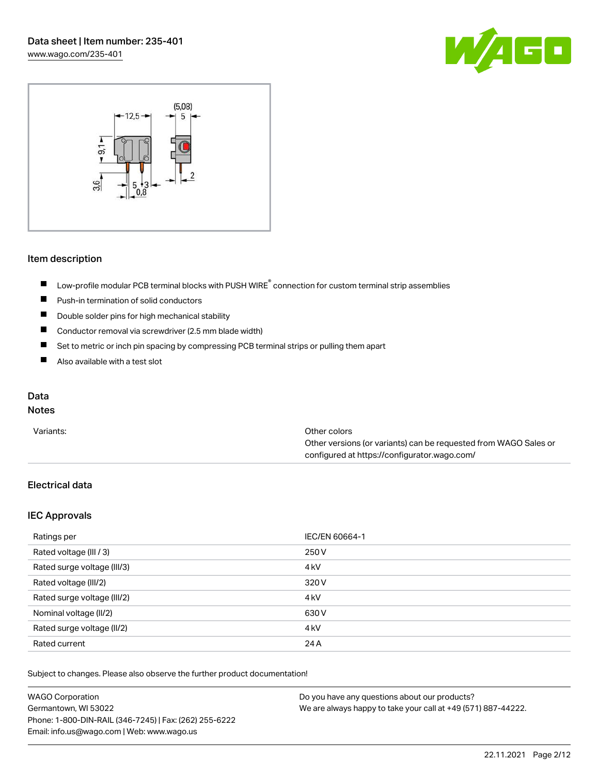



#### Item description

- Low-profile modular PCB terminal blocks with PUSH WIRE<sup>®</sup> connection for custom terminal strip assemblies  $\blacksquare$
- $\blacksquare$ Push-in termination of solid conductors
- $\blacksquare$ Double solder pins for high mechanical stability
- $\blacksquare$ Conductor removal via screwdriver (2.5 mm blade width)
- $\blacksquare$ Set to metric or inch pin spacing by compressing PCB terminal strips or pulling them apart
- $\blacksquare$ Also available with a test slot

## Data

## Notes

| Variants: | Other colors                                                     |
|-----------|------------------------------------------------------------------|
|           | Other versions (or variants) can be requested from WAGO Sales or |
|           | configured at https://configurator.wago.com/                     |

## Electrical data

#### IEC Approvals

| Ratings per                 | IEC/EN 60664-1   |
|-----------------------------|------------------|
| Rated voltage (III / 3)     | 250 V            |
| Rated surge voltage (III/3) | 4 <sub>k</sub> V |
| Rated voltage (III/2)       | 320 V            |
| Rated surge voltage (III/2) | 4 <sub>k</sub> V |
| Nominal voltage (II/2)      | 630 V            |
| Rated surge voltage (II/2)  | 4 <sub>k</sub> V |
| Rated current               | 24 A             |

Subject to changes. Please also observe the further product documentation!

| <b>WAGO Corporation</b>                                | Do you have any questions about our products?                 |
|--------------------------------------------------------|---------------------------------------------------------------|
| Germantown, WI 53022                                   | We are always happy to take your call at +49 (571) 887-44222. |
| Phone: 1-800-DIN-RAIL (346-7245)   Fax: (262) 255-6222 |                                                               |
| Email: info.us@wago.com   Web: www.wago.us             |                                                               |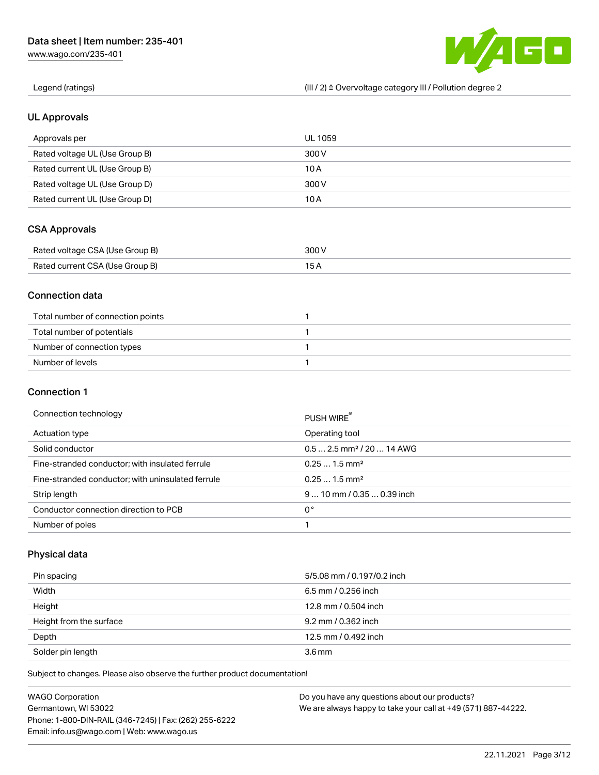[www.wago.com/235-401](http://www.wago.com/235-401)



Legend (ratings) (III / 2) ≙ Overvoltage category III / Pollution degree 2

### UL Approvals

| Approvals per                  | UL 1059 |
|--------------------------------|---------|
| Rated voltage UL (Use Group B) | 300 V   |
| Rated current UL (Use Group B) | 10 A    |
| Rated voltage UL (Use Group D) | 300 V   |
| Rated current UL (Use Group D) | 10 A    |

### CSA Approvals

| Rated voltage CSA (Use Group B) | 300 V |
|---------------------------------|-------|
| Rated current CSA (Use Group B) |       |

#### Connection data

| Total number of connection points |  |
|-----------------------------------|--|
| Total number of potentials        |  |
| Number of connection types        |  |
| Number of levels                  |  |

#### Connection 1

| Connection technology                             | PUSH WIRE®                             |
|---------------------------------------------------|----------------------------------------|
| Actuation type                                    | Operating tool                         |
| Solid conductor                                   | $0.5$ 2.5 mm <sup>2</sup> / 20  14 AWG |
| Fine-stranded conductor; with insulated ferrule   | $0.251.5$ mm <sup>2</sup>              |
| Fine-stranded conductor; with uninsulated ferrule | $0.251.5$ mm <sup>2</sup>              |
| Strip length                                      | $910$ mm / 0.35  0.39 inch             |
| Conductor connection direction to PCB             | 0°                                     |
| Number of poles                                   |                                        |

## Physical data

| Pin spacing             | 5/5.08 mm / 0.197/0.2 inch |
|-------------------------|----------------------------|
| Width                   | $6.5$ mm / 0.256 inch      |
| Height                  | 12.8 mm / 0.504 inch       |
| Height from the surface | 9.2 mm / 0.362 inch        |
| Depth                   | 12.5 mm / 0.492 inch       |
| Solder pin length       | 3.6 <sub>mm</sub>          |

Subject to changes. Please also observe the further product documentation!

| <b>WAGO Corporation</b>                                | Do you have any questions about our products?                 |
|--------------------------------------------------------|---------------------------------------------------------------|
| Germantown, WI 53022                                   | We are always happy to take your call at +49 (571) 887-44222. |
| Phone: 1-800-DIN-RAIL (346-7245)   Fax: (262) 255-6222 |                                                               |
| Email: info.us@wago.com   Web: www.wago.us             |                                                               |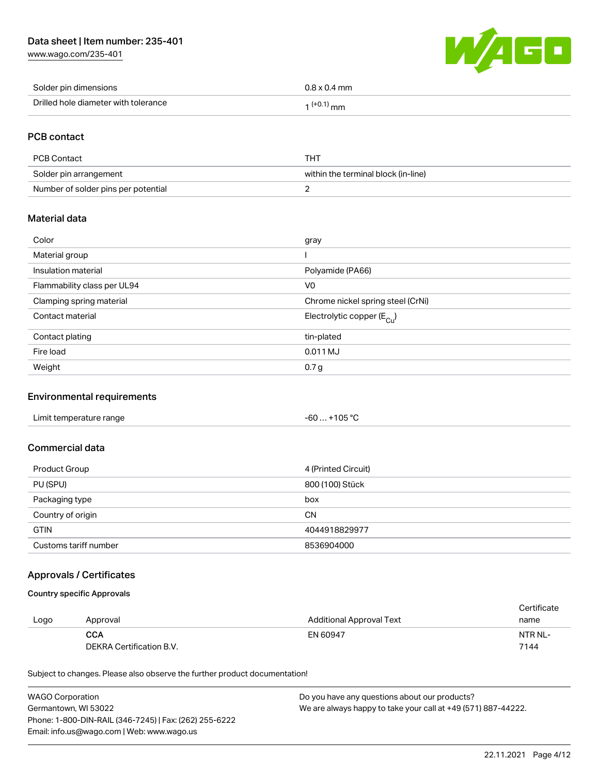[www.wago.com/235-401](http://www.wago.com/235-401)



| Solder pin dimensions                | $0.8 \times 0.4$ mm    |
|--------------------------------------|------------------------|
| Drilled hole diameter with tolerance | $(+0.1)$ <sub>mm</sub> |

## PCB contact

| PCB Contact                         | THT                                 |
|-------------------------------------|-------------------------------------|
| Solder pin arrangement              | within the terminal block (in-line) |
| Number of solder pins per potential |                                     |

#### Material data

| Color                       | gray                                  |
|-----------------------------|---------------------------------------|
| Material group              |                                       |
| Insulation material         | Polyamide (PA66)                      |
| Flammability class per UL94 | V <sub>0</sub>                        |
| Clamping spring material    | Chrome nickel spring steel (CrNi)     |
| Contact material            | Electrolytic copper $(E_{\text{Cl}})$ |
| Contact plating             | tin-plated                            |
| Fire load                   | 0.011 MJ                              |
| Weight                      | 0.7 <sub>g</sub>                      |

### Environmental requirements

| Limit temperature range | $-60+105 °C$ |
|-------------------------|--------------|
|-------------------------|--------------|

#### Commercial data

| Product Group         | 4 (Printed Circuit) |
|-----------------------|---------------------|
| PU (SPU)              | 800 (100) Stück     |
| Packaging type        | box                 |
| Country of origin     | <b>CN</b>           |
| <b>GTIN</b>           | 4044918829977       |
| Customs tariff number | 8536904000          |

## Approvals / Certificates

## Country specific Approvals

|      |                          |                          | Certificate |
|------|--------------------------|--------------------------|-------------|
| Logo | Approval                 | Additional Approval Text | name        |
|      | <b>CCA</b>               | EN 60947                 | NTR NL-     |
|      | DEKRA Certification B.V. |                          | 7144        |

Subject to changes. Please also observe the further product documentation!

| <b>WAGO Corporation</b>                                | Do you have any questions about our products?                 |
|--------------------------------------------------------|---------------------------------------------------------------|
| Germantown, WI 53022                                   | We are always happy to take your call at +49 (571) 887-44222. |
| Phone: 1-800-DIN-RAIL (346-7245)   Fax: (262) 255-6222 |                                                               |
| Email: info.us@wago.com   Web: www.wago.us             |                                                               |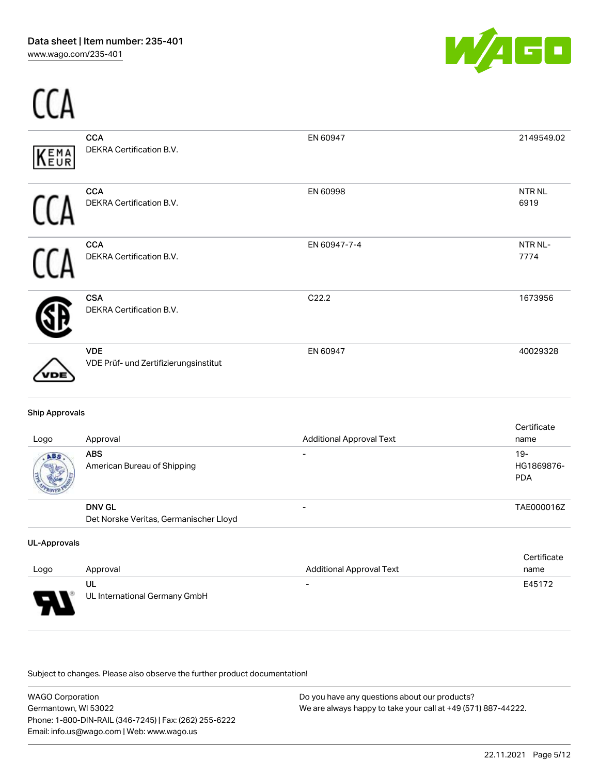

| (EMA<br>VEUR | <b>CCA</b><br>DEKRA Certification B.V.              | EN 60947     | 2149549.02                |
|--------------|-----------------------------------------------------|--------------|---------------------------|
|              | <b>CCA</b><br>DEKRA Certification B.V.              | EN 60998     | NTR <sub>NL</sub><br>6919 |
|              | <b>CCA</b><br>DEKRA Certification B.V.              | EN 60947-7-4 | NTR NL-<br>7774           |
|              | <b>CSA</b><br>DEKRA Certification B.V.              | C22.2        | 1673956                   |
| DЕ           | <b>VDE</b><br>VDE Prüf- und Zertifizierungsinstitut | EN 60947     | 40029328                  |

| Logo | Approval                                                | <b>Additional Approval Text</b> | Certificate<br>name                |
|------|---------------------------------------------------------|---------------------------------|------------------------------------|
| ABS  | <b>ABS</b><br>American Bureau of Shipping               |                                 | $19 -$<br>HG1869876-<br><b>PDA</b> |
|      | <b>DNV GL</b><br>Det Norske Veritas, Germanischer Lloyd | -                               | TAE000016Z                         |

#### UL-Approvals

| Logo | Approval                            | <b>Additional Approval Text</b> | Certificate<br>name |
|------|-------------------------------------|---------------------------------|---------------------|
| o    | UL<br>UL International Germany GmbH | $\overline{\phantom{0}}$        | E45172              |

.<br>Subject to changes. Please also observe the further product documentation!

| <b>WAGO Corporation</b>                                | Do you have any questions about our products?                 |
|--------------------------------------------------------|---------------------------------------------------------------|
| Germantown, WI 53022                                   | We are always happy to take your call at +49 (571) 887-44222. |
| Phone: 1-800-DIN-RAIL (346-7245)   Fax: (262) 255-6222 |                                                               |
| Email: info.us@wago.com   Web: www.wago.us             |                                                               |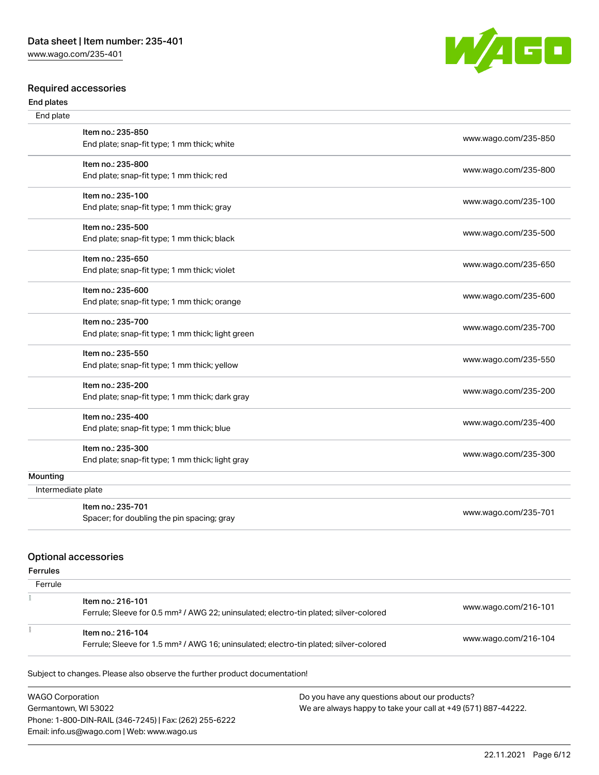[www.wago.com/235-401](http://www.wago.com/235-401)

#### Required accessories

#### End plates



| End plate          |                                                   |                      |
|--------------------|---------------------------------------------------|----------------------|
|                    | Item no.: 235-850                                 | www.wago.com/235-850 |
|                    | End plate; snap-fit type; 1 mm thick; white       |                      |
|                    | Item no.: 235-800                                 | www.wago.com/235-800 |
|                    | End plate; snap-fit type; 1 mm thick; red         |                      |
|                    | Item no.: 235-100                                 | www.wago.com/235-100 |
|                    | End plate; snap-fit type; 1 mm thick; gray        |                      |
|                    | Item no.: 235-500                                 | www.wago.com/235-500 |
|                    | End plate; snap-fit type; 1 mm thick; black       |                      |
|                    | Item no.: 235-650                                 | www.wago.com/235-650 |
|                    | End plate; snap-fit type; 1 mm thick; violet      |                      |
|                    | Item no.: 235-600                                 | www.wago.com/235-600 |
|                    | End plate; snap-fit type; 1 mm thick; orange      |                      |
|                    | Item no.: 235-700                                 | www.wago.com/235-700 |
|                    | End plate; snap-fit type; 1 mm thick; light green |                      |
|                    | Item no.: 235-550                                 | www.wago.com/235-550 |
|                    | End plate; snap-fit type; 1 mm thick; yellow      |                      |
|                    | Item no.: 235-200                                 |                      |
|                    | End plate; snap-fit type; 1 mm thick; dark gray   | www.wago.com/235-200 |
|                    | Item no.: 235-400                                 |                      |
|                    | End plate; snap-fit type; 1 mm thick; blue        | www.wago.com/235-400 |
|                    | Item no.: 235-300                                 |                      |
|                    | End plate; snap-fit type; 1 mm thick; light gray  | www.wago.com/235-300 |
| Mounting           |                                                   |                      |
| Intermediate plate |                                                   |                      |
|                    | Item no.: 235-701                                 | www.wago.com/235-701 |
|                    | Spacer; for doubling the pin spacing; gray        |                      |

#### Optional accessories

## Ferrules

| Ferrule |                                                                                                                        |                      |
|---------|------------------------------------------------------------------------------------------------------------------------|----------------------|
|         | Item no.: 216-101<br>Ferrule; Sleeve for 0.5 mm <sup>2</sup> / AWG 22; uninsulated; electro-tin plated; silver-colored | www.wago.com/216-101 |
|         | Item no.: 216-104<br>Ferrule; Sleeve for 1.5 mm <sup>2</sup> / AWG 16; uninsulated; electro-tin plated; silver-colored | www.wago.com/216-104 |

Subject to changes. Please also observe the further product documentation!

WAGO Corporation Germantown, WI 53022 Phone: 1-800-DIN-RAIL (346-7245) | Fax: (262) 255-6222 Email: info.us@wago.com | Web: www.wago.us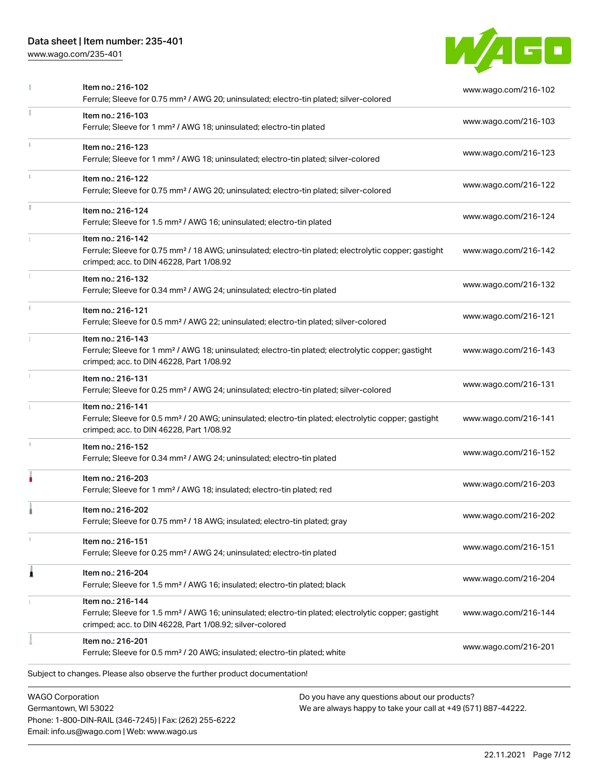Email: info.us@wago.com | Web: www.wago.us

[www.wago.com/235-401](http://www.wago.com/235-401)



|    | Item no.: 216-102<br>Ferrule; Sleeve for 0.75 mm <sup>2</sup> / AWG 20; uninsulated; electro-tin plated; silver-colored                                                                                                     | www.wago.com/216-102 |
|----|-----------------------------------------------------------------------------------------------------------------------------------------------------------------------------------------------------------------------------|----------------------|
|    | Item no.: 216-103<br>Ferrule; Sleeve for 1 mm <sup>2</sup> / AWG 18; uninsulated; electro-tin plated                                                                                                                        | www.wago.com/216-103 |
|    | Item no.: 216-123<br>Ferrule; Sleeve for 1 mm <sup>2</sup> / AWG 18; uninsulated; electro-tin plated; silver-colored                                                                                                        | www.wago.com/216-123 |
|    | Item no.: 216-122<br>Ferrule; Sleeve for 0.75 mm <sup>2</sup> / AWG 20; uninsulated; electro-tin plated; silver-colored                                                                                                     | www.wago.com/216-122 |
|    | Item no.: 216-124<br>Ferrule; Sleeve for 1.5 mm <sup>2</sup> / AWG 16; uninsulated; electro-tin plated                                                                                                                      | www.wago.com/216-124 |
|    | Item no.: 216-142<br>Ferrule; Sleeve for 0.75 mm <sup>2</sup> / 18 AWG; uninsulated; electro-tin plated; electrolytic copper; gastight<br>crimped; acc. to DIN 46228, Part 1/08.92                                          | www.wago.com/216-142 |
|    | Item no.: 216-132<br>Ferrule; Sleeve for 0.34 mm <sup>2</sup> / AWG 24; uninsulated; electro-tin plated                                                                                                                     | www.wago.com/216-132 |
| ī. | Item no.: 216-121<br>Ferrule; Sleeve for 0.5 mm <sup>2</sup> / AWG 22; uninsulated; electro-tin plated; silver-colored                                                                                                      | www.wago.com/216-121 |
|    | Item no.: 216-143<br>Ferrule; Sleeve for 1 mm <sup>2</sup> / AWG 18; uninsulated; electro-tin plated; electrolytic copper; gastight<br>crimped; acc. to DIN 46228, Part 1/08.92                                             | www.wago.com/216-143 |
|    | Item no.: 216-131<br>Ferrule; Sleeve for 0.25 mm <sup>2</sup> / AWG 24; uninsulated; electro-tin plated; silver-colored                                                                                                     | www.wago.com/216-131 |
|    | Item no.: 216-141<br>Ferrule; Sleeve for 0.5 mm <sup>2</sup> / 20 AWG; uninsulated; electro-tin plated; electrolytic copper; gastight<br>crimped; acc. to DIN 46228, Part 1/08.92                                           | www.wago.com/216-141 |
| z. | Item no.: 216-152<br>Ferrule; Sleeve for 0.34 mm <sup>2</sup> / AWG 24; uninsulated; electro-tin plated                                                                                                                     | www.wago.com/216-152 |
|    | Item no.: 216-203<br>Ferrule; Sleeve for 1 mm <sup>2</sup> / AWG 18; insulated; electro-tin plated; red                                                                                                                     | www.wago.com/216-203 |
|    | Item no.: 216-202<br>Ferrule; Sleeve for 0.75 mm <sup>2</sup> / 18 AWG; insulated; electro-tin plated; gray                                                                                                                 | www.wago.com/216-202 |
|    | Item no.: 216-151<br>Ferrule; Sleeve for 0.25 mm <sup>2</sup> / AWG 24; uninsulated; electro-tin plated                                                                                                                     | www.wago.com/216-151 |
| ۸  | Item no.: 216-204<br>Ferrule; Sleeve for 1.5 mm <sup>2</sup> / AWG 16; insulated; electro-tin plated; black                                                                                                                 | www.wago.com/216-204 |
|    | Item no.: 216-144<br>Ferrule; Sleeve for 1.5 mm <sup>2</sup> / AWG 16; uninsulated; electro-tin plated; electrolytic copper; gastight<br>crimped; acc. to DIN 46228, Part 1/08.92; silver-colored                           | www.wago.com/216-144 |
|    | Item no.: 216-201<br>Ferrule; Sleeve for 0.5 mm <sup>2</sup> / 20 AWG; insulated; electro-tin plated; white                                                                                                                 | www.wago.com/216-201 |
|    | Subject to changes. Please also observe the further product documentation!                                                                                                                                                  |                      |
|    | <b>WAGO Corporation</b><br>Do you have any questions about our products?<br>Germantown, WI 53022<br>We are always happy to take your call at +49 (571) 887-44222.<br>Phone: 1-800-DIN-RAIL (346-7245)   Fax: (262) 255-6222 |                      |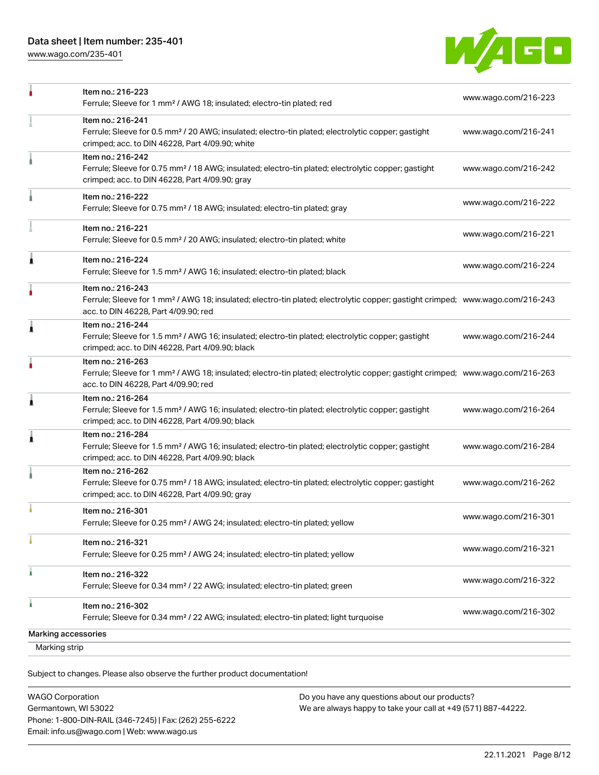[www.wago.com/235-401](http://www.wago.com/235-401)



| Marking strip       |                                                                                                                                                                                                         |                      |
|---------------------|---------------------------------------------------------------------------------------------------------------------------------------------------------------------------------------------------------|----------------------|
| Marking accessories |                                                                                                                                                                                                         |                      |
|                     | Item no.: 216-302<br>Ferrule; Sleeve for 0.34 mm <sup>2</sup> / 22 AWG; insulated; electro-tin plated; light turquoise                                                                                  | www.wago.com/216-302 |
|                     | Item no.: 216-322<br>Ferrule; Sleeve for 0.34 mm <sup>2</sup> / 22 AWG; insulated; electro-tin plated; green                                                                                            | www.wago.com/216-322 |
|                     | Item no.: 216-321<br>Ferrule; Sleeve for 0.25 mm <sup>2</sup> / AWG 24; insulated; electro-tin plated; yellow                                                                                           | www.wago.com/216-321 |
|                     | Item no.: 216-301<br>Ferrule; Sleeve for 0.25 mm <sup>2</sup> / AWG 24; insulated; electro-tin plated; yellow                                                                                           | www.wago.com/216-301 |
|                     | Item no.: 216-262<br>Ferrule; Sleeve for 0.75 mm <sup>2</sup> / 18 AWG; insulated; electro-tin plated; electrolytic copper; gastight<br>crimped; acc. to DIN 46228, Part 4/09.90; gray                  | www.wago.com/216-262 |
| 1                   | Item no.: 216-284<br>Ferrule; Sleeve for 1.5 mm <sup>2</sup> / AWG 16; insulated; electro-tin plated; electrolytic copper; gastight<br>crimped; acc. to DIN 46228, Part 4/09.90; black                  | www.wago.com/216-284 |
| Â                   | Item no.: 216-264<br>Ferrule; Sleeve for 1.5 mm <sup>2</sup> / AWG 16; insulated; electro-tin plated; electrolytic copper; gastight<br>crimped; acc. to DIN 46228, Part 4/09.90; black                  | www.wago.com/216-264 |
|                     | Item no.: 216-263<br>Ferrule; Sleeve for 1 mm <sup>2</sup> / AWG 18; insulated; electro-tin plated; electrolytic copper; gastight crimped; www.wago.com/216-263<br>acc. to DIN 46228, Part 4/09.90; red |                      |
| 1                   | Item no.: 216-244<br>Ferrule; Sleeve for 1.5 mm <sup>2</sup> / AWG 16; insulated; electro-tin plated; electrolytic copper; gastight<br>crimped; acc. to DIN 46228, Part 4/09.90; black                  | www.wago.com/216-244 |
|                     | Item no.: 216-243<br>Ferrule; Sleeve for 1 mm <sup>2</sup> / AWG 18; insulated; electro-tin plated; electrolytic copper; gastight crimped; www.wago.com/216-243<br>acc. to DIN 46228, Part 4/09.90; red |                      |
| 1                   | Item no.: 216-224<br>Ferrule; Sleeve for 1.5 mm <sup>2</sup> / AWG 16; insulated; electro-tin plated; black                                                                                             | www.wago.com/216-224 |
|                     | Item no.: 216-221<br>Ferrule; Sleeve for 0.5 mm <sup>2</sup> / 20 AWG; insulated; electro-tin plated; white                                                                                             | www.wago.com/216-221 |
|                     | Item no.: 216-222<br>Ferrule; Sleeve for 0.75 mm <sup>2</sup> / 18 AWG; insulated; electro-tin plated; gray                                                                                             | www.wago.com/216-222 |
|                     | Item no.: 216-242<br>Ferrule; Sleeve for 0.75 mm <sup>2</sup> / 18 AWG; insulated; electro-tin plated; electrolytic copper; gastight<br>crimped; acc. to DIN 46228, Part 4/09.90; gray                  | www.wago.com/216-242 |
|                     | Item no.: 216-241<br>Ferrule; Sleeve for 0.5 mm <sup>2</sup> / 20 AWG; insulated; electro-tin plated; electrolytic copper; gastight<br>crimped; acc. to DIN 46228, Part 4/09.90; white                  | www.wago.com/216-241 |
|                     | Item no.: 216-223<br>Ferrule; Sleeve for 1 mm <sup>2</sup> / AWG 18; insulated; electro-tin plated; red                                                                                                 | www.wago.com/216-223 |

Subject to changes. Please also observe the further product documentation!

| <b>WAGO Corporation</b>                                |
|--------------------------------------------------------|
| Germantown, WI 53022                                   |
| Phone: 1-800-DIN-RAIL (346-7245)   Fax: (262) 255-6222 |
| Email: info.us@wago.com   Web: www.wago.us             |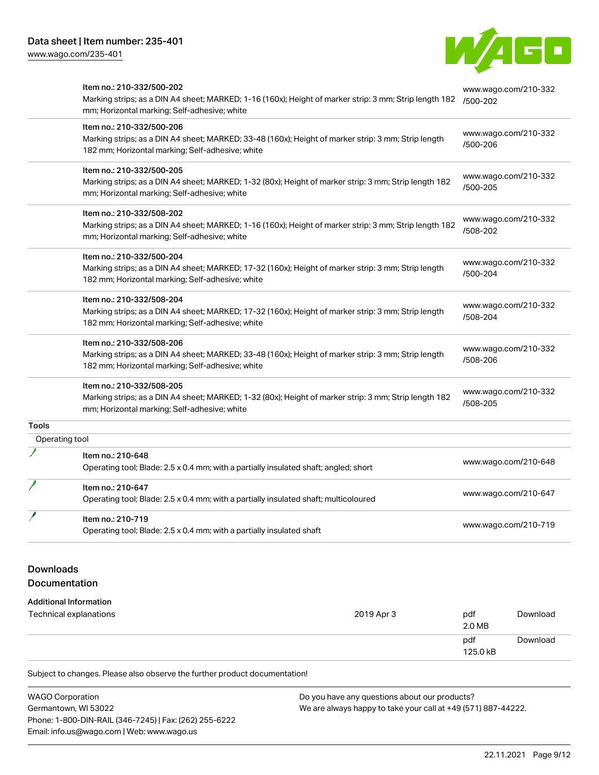[www.wago.com/235-401](http://www.wago.com/235-401)



|                | Item no.: 210-332/500-202<br>Marking strips; as a DIN A4 sheet; MARKED; 1-16 (160x); Height of marker strip: 3 mm; Strip length 182 | www.wago.com/210-332<br>/500-202 |  |
|----------------|-------------------------------------------------------------------------------------------------------------------------------------|----------------------------------|--|
|                | mm; Horizontal marking; Self-adhesive; white                                                                                        |                                  |  |
|                | Item no.: 210-332/500-206                                                                                                           | www.wago.com/210-332             |  |
|                | Marking strips; as a DIN A4 sheet; MARKED; 33-48 (160x); Height of marker strip: 3 mm; Strip length                                 | /500-206                         |  |
|                | 182 mm; Horizontal marking; Self-adhesive; white                                                                                    |                                  |  |
|                | Item no.: 210-332/500-205                                                                                                           |                                  |  |
|                | Marking strips; as a DIN A4 sheet; MARKED; 1-32 (80x); Height of marker strip: 3 mm; Strip length 182                               | www.wago.com/210-332<br>/500-205 |  |
|                | mm; Horizontal marking; Self-adhesive; white                                                                                        |                                  |  |
|                | Item no.: 210-332/508-202                                                                                                           |                                  |  |
|                | Marking strips; as a DIN A4 sheet; MARKED; 1-16 (160x); Height of marker strip: 3 mm; Strip length 182                              | www.wago.com/210-332             |  |
|                | mm; Horizontal marking; Self-adhesive; white                                                                                        | /508-202                         |  |
|                | Item no.: 210-332/500-204                                                                                                           |                                  |  |
|                | Marking strips; as a DIN A4 sheet; MARKED; 17-32 (160x); Height of marker strip: 3 mm; Strip length                                 | www.wago.com/210-332             |  |
|                | 182 mm; Horizontal marking; Self-adhesive; white                                                                                    | /500-204                         |  |
|                | Item no.: 210-332/508-204                                                                                                           |                                  |  |
|                | Marking strips; as a DIN A4 sheet; MARKED; 17-32 (160x); Height of marker strip: 3 mm; Strip length                                 | www.wago.com/210-332             |  |
|                | 182 mm; Horizontal marking; Self-adhesive; white                                                                                    | /508-204                         |  |
|                | Item no.: 210-332/508-206                                                                                                           |                                  |  |
|                | Marking strips; as a DIN A4 sheet; MARKED; 33-48 (160x); Height of marker strip: 3 mm; Strip length                                 | www.wago.com/210-332             |  |
|                | 182 mm; Horizontal marking; Self-adhesive; white                                                                                    | /508-206                         |  |
|                | Item no.: 210-332/508-205                                                                                                           |                                  |  |
|                | Marking strips; as a DIN A4 sheet; MARKED; 1-32 (80x); Height of marker strip: 3 mm; Strip length 182                               | www.wago.com/210-332             |  |
|                | mm; Horizontal marking; Self-adhesive; white                                                                                        | /508-205                         |  |
| Tools          |                                                                                                                                     |                                  |  |
| Operating tool |                                                                                                                                     |                                  |  |
|                | Item no.: 210-648                                                                                                                   |                                  |  |
|                | Operating tool; Blade: 2.5 x 0.4 mm; with a partially insulated shaft; angled; short                                                | www.wago.com/210-648             |  |
|                | Item no.: 210-647                                                                                                                   |                                  |  |
|                | Operating tool; Blade: 2.5 x 0.4 mm; with a partially insulated shaft; multicoloured                                                | www.wago.com/210-647             |  |
|                | Item no.: 210-719                                                                                                                   |                                  |  |
|                | Operating tool; Blade: 2.5 x 0.4 mm; with a partially insulated shaft                                                               | www.wago.com/210-719             |  |

# Downloads

#### Documentation

# Additional Information Technical explanations and the control of the control of the control of the control of the control of the control of the control of the control of the control of the control of the control of the control of the control of 2.0 MB pdf 125.0 kB

Subject to changes. Please also observe the further product documentation!

| <b>WAGO Corporation</b>                                | Do you have any questions about our products?                 |  |  |  |
|--------------------------------------------------------|---------------------------------------------------------------|--|--|--|
| Germantown, WI 53022                                   | We are always happy to take your call at +49 (571) 887-44222. |  |  |  |
| Phone: 1-800-DIN-RAIL (346-7245)   Fax: (262) 255-6222 |                                                               |  |  |  |
| Email: info.us@wago.com   Web: www.wago.us             |                                                               |  |  |  |

[Download](https://www.wago.com/global/d/1435602)

**[Download](https://www.wago.com/global/d/DOC101557)**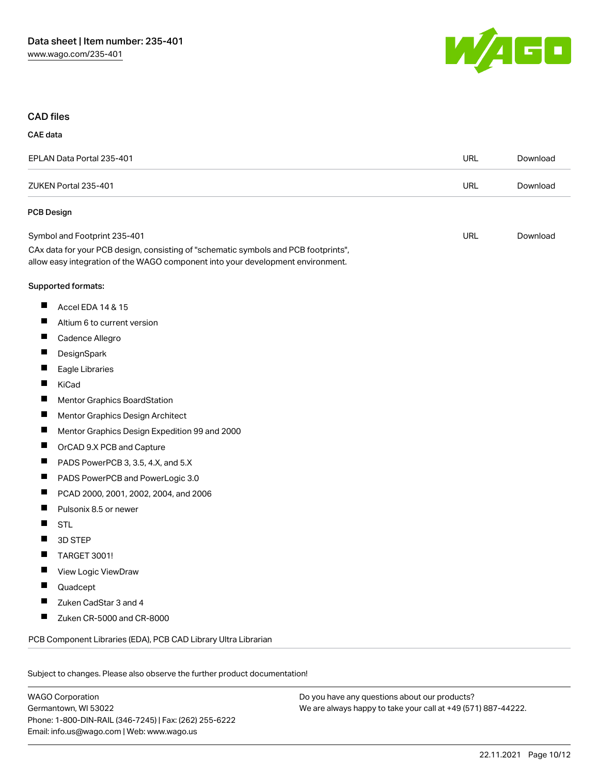

#### CAD files

CAE data

| EPLAN Data Portal 235-401                                                                                                                                              |  | Download |  |  |  |
|------------------------------------------------------------------------------------------------------------------------------------------------------------------------|--|----------|--|--|--|
| ZUKEN Portal 235-401                                                                                                                                                   |  | Download |  |  |  |
| <b>PCB Design</b>                                                                                                                                                      |  |          |  |  |  |
| Symbol and Footprint 235-401                                                                                                                                           |  | Download |  |  |  |
| CAx data for your PCB design, consisting of "schematic symbols and PCB footprints",<br>allow easy integration of the WAGO component into your development environment. |  |          |  |  |  |
| Supported formats:                                                                                                                                                     |  |          |  |  |  |
| ш<br>Accel EDA 14 & 15                                                                                                                                                 |  |          |  |  |  |
| Altium 6 to current version                                                                                                                                            |  |          |  |  |  |
| П<br>Cadence Allegro                                                                                                                                                   |  |          |  |  |  |
| DesignSpark                                                                                                                                                            |  |          |  |  |  |
| п<br>Eagle Libraries                                                                                                                                                   |  |          |  |  |  |
| KiCad                                                                                                                                                                  |  |          |  |  |  |
| п<br>Mentor Graphics BoardStation                                                                                                                                      |  |          |  |  |  |
| ш<br>Mentor Graphics Design Architect                                                                                                                                  |  |          |  |  |  |
| п<br>Mentor Graphics Design Expedition 99 and 2000                                                                                                                     |  |          |  |  |  |
| ш<br>OrCAD 9.X PCB and Capture                                                                                                                                         |  |          |  |  |  |
| PADS PowerPCB 3, 3.5, 4.X, and 5.X<br>П                                                                                                                                |  |          |  |  |  |
| L<br>PADS PowerPCB and PowerLogic 3.0                                                                                                                                  |  |          |  |  |  |
| П<br>PCAD 2000, 2001, 2002, 2004, and 2006                                                                                                                             |  |          |  |  |  |
| П<br>Pulsonix 8.5 or newer                                                                                                                                             |  |          |  |  |  |
| П<br><b>STL</b>                                                                                                                                                        |  |          |  |  |  |
| 3D STEP<br>п                                                                                                                                                           |  |          |  |  |  |
| П<br>TARGET 3001!                                                                                                                                                      |  |          |  |  |  |
| View Logic ViewDraw                                                                                                                                                    |  |          |  |  |  |
| Quadcept                                                                                                                                                               |  |          |  |  |  |
| П<br>Zuken CadStar 3 and 4                                                                                                                                             |  |          |  |  |  |
| ш<br>Zuken CR-5000 and CR-8000                                                                                                                                         |  |          |  |  |  |
| PCB Component Libraries (EDA), PCB CAD Library Ultra Librarian                                                                                                         |  |          |  |  |  |

Subject to changes. Please also observe the further product documentation!

WAGO Corporation Germantown, WI 53022 Phone: 1-800-DIN-RAIL (346-7245) | Fax: (262) 255-6222 Email: info.us@wago.com | Web: www.wago.us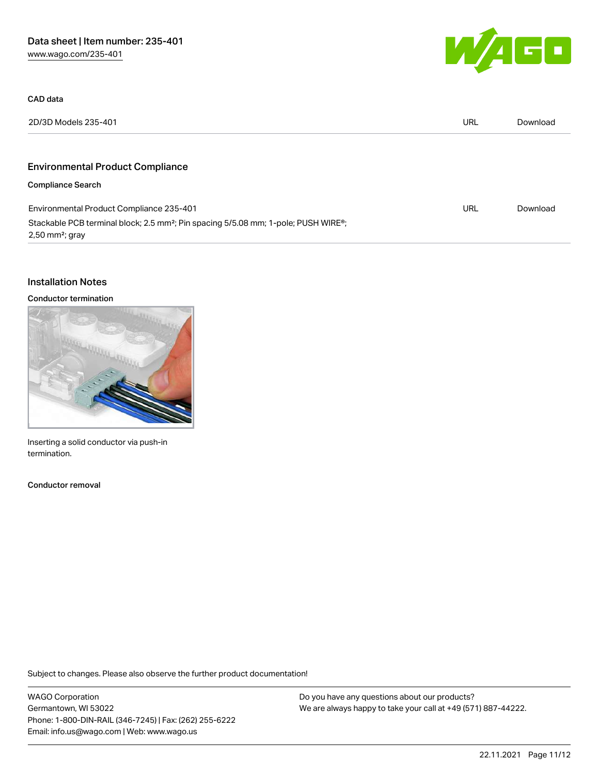

| 2D/3D Models 235-401                                                                                                                         | URL | Download |
|----------------------------------------------------------------------------------------------------------------------------------------------|-----|----------|
| <b>Environmental Product Compliance</b>                                                                                                      |     |          |
| <b>Compliance Search</b>                                                                                                                     |     |          |
| Environmental Product Compliance 235-401                                                                                                     | URL | Download |
| Stackable PCB terminal block; 2.5 mm <sup>2</sup> ; Pin spacing 5/5.08 mm; 1-pole; PUSH WIRE <sup>®</sup> ;<br>$2,50$ mm <sup>2</sup> ; gray |     |          |

### Installation Notes

CAD data

#### Conductor termination



Inserting a solid conductor via push-in termination.

Conductor removal

Subject to changes. Please also observe the further product documentation!

WAGO Corporation Germantown, WI 53022 Phone: 1-800-DIN-RAIL (346-7245) | Fax: (262) 255-6222 Email: info.us@wago.com | Web: www.wago.us